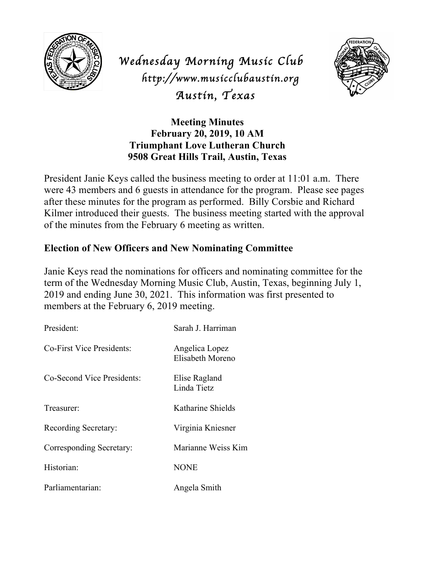

*Wednesday Morning Music Club http://www.musicclubaustin.org Austin, Texas* 



**Meeting Minutes February 20, 2019, 10 AM Triumphant Love Lutheran Church 9508 Great Hills Trail, Austin, Texas**

President Janie Keys called the business meeting to order at 11:01 a.m. There were 43 members and 6 guests in attendance for the program. Please see pages after these minutes for the program as performed. Billy Corsbie and Richard Kilmer introduced their guests. The business meeting started with the approval of the minutes from the February 6 meeting as written.

## **Election of New Officers and New Nominating Committee**

Janie Keys read the nominations for officers and nominating committee for the term of the Wednesday Morning Music Club, Austin, Texas, beginning July 1, 2019 and ending June 30, 2021. This information was first presented to members at the February 6, 2019 meeting.

| President:                 | Sarah J. Harriman                  |
|----------------------------|------------------------------------|
| Co-First Vice Presidents:  | Angelica Lopez<br>Elisabeth Moreno |
| Co-Second Vice Presidents: | Elise Ragland<br>Linda Tietz       |
| Treasurer:                 | Katharine Shields                  |
| Recording Secretary:       | Virginia Kniesner                  |
| Corresponding Secretary:   | Marianne Weiss Kim                 |
| Historian:                 | <b>NONE</b>                        |
| Parliamentarian:           | Angela Smith                       |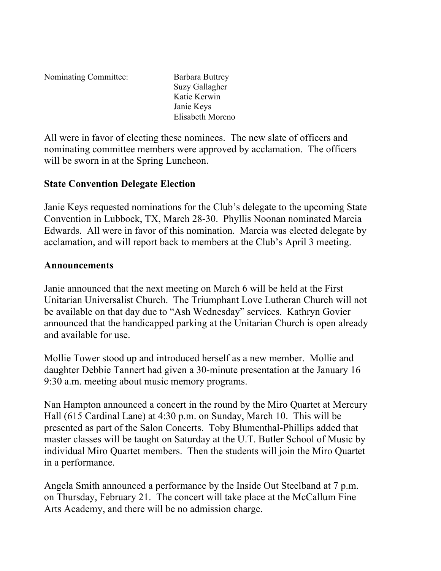Nominating Committee: Barbara Buttrey

Suzy Gallagher Katie Kerwin Janie Keys Elisabeth Moreno

All were in favor of electing these nominees. The new slate of officers and nominating committee members were approved by acclamation. The officers will be sworn in at the Spring Luncheon.

## **State Convention Delegate Election**

Janie Keys requested nominations for the Club's delegate to the upcoming State Convention in Lubbock, TX, March 28-30. Phyllis Noonan nominated Marcia Edwards. All were in favor of this nomination. Marcia was elected delegate by acclamation, and will report back to members at the Club's April 3 meeting.

## **Announcements**

Janie announced that the next meeting on March 6 will be held at the First Unitarian Universalist Church. The Triumphant Love Lutheran Church will not be available on that day due to "Ash Wednesday" services. Kathryn Govier announced that the handicapped parking at the Unitarian Church is open already and available for use.

Mollie Tower stood up and introduced herself as a new member. Mollie and daughter Debbie Tannert had given a 30-minute presentation at the January 16 9:30 a.m. meeting about music memory programs.

Nan Hampton announced a concert in the round by the Miro Quartet at Mercury Hall (615 Cardinal Lane) at 4:30 p.m. on Sunday, March 10. This will be presented as part of the Salon Concerts. Toby Blumenthal-Phillips added that master classes will be taught on Saturday at the U.T. Butler School of Music by individual Miro Quartet members. Then the students will join the Miro Quartet in a performance.

Angela Smith announced a performance by the Inside Out Steelband at 7 p.m. on Thursday, February 21. The concert will take place at the McCallum Fine Arts Academy, and there will be no admission charge.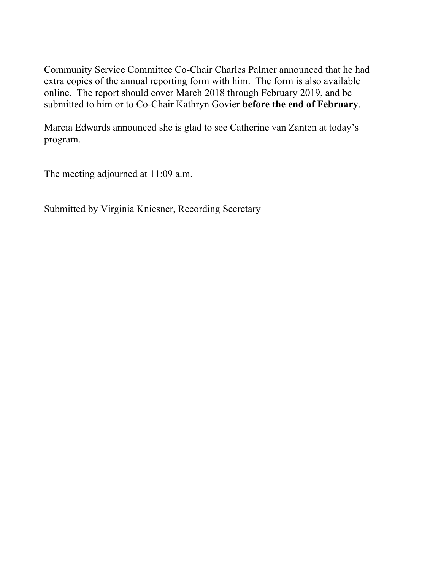Community Service Committee Co-Chair Charles Palmer announced that he had extra copies of the annual reporting form with him. The form is also available online. The report should cover March 2018 through February 2019, and be submitted to him or to Co-Chair Kathryn Govier **before the end of February**.

Marcia Edwards announced she is glad to see Catherine van Zanten at today's program.

The meeting adjourned at 11:09 a.m.

Submitted by Virginia Kniesner, Recording Secretary